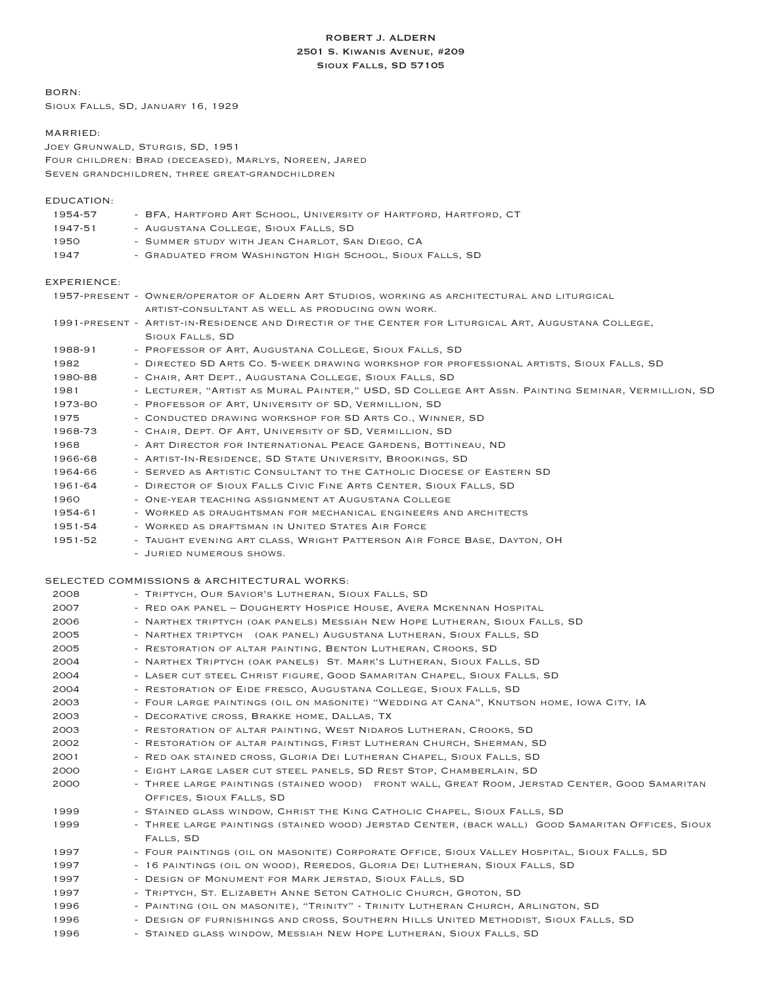# ROBERT J. ALDERN 2501 S. Kiwanis Avenue, #209 Sioux Falls, SD 57105

BORN:

Sioux Falls, SD, January 16, 1929

## MARRIED:

Joey Grunwald, Sturgis, SD, 1951 Four children: Brad (deceased), Marlys, Noreen, Jared Seven grandchildren, three great-grandchildren

# EDUCATION:

| 1954-57 | - BFA, HARTFORD ART SCHOOL, UNIVERSITY OF HARTFORD, HARTFORD, CT |
|---------|------------------------------------------------------------------|
| 1947-51 | - AUGUSTANA COLLEGE, SIOUX FALLS, SD                             |
| 1950    | - SUMMER STUDY WITH JEAN CHARLOT, SAN DIEGO, CA                  |
| 1947    | - GRADUATED FROM WASHINGTON HIGH SCHOOL, SIOUX FALLS, SD         |

## EXPERIENCE:

|         | 1957-PRESENT - OWNER/OPERATOR OF ALDERN ART STUDIOS, WORKING AS ARCHITECTURAL AND LITURGICAL         |
|---------|------------------------------------------------------------------------------------------------------|
|         | ARTIST-CONSULTANT AS WELL AS PRODUCING OWN WORK.                                                     |
|         | 1991-PRESENT - ARTIST-IN-RESIDENCE AND DIRECTIR OF THE CENTER FOR LITURGICAL ART, AUGUSTANA COLLEGE, |
|         | SIOUX FALLS, SD                                                                                      |
| 1988-91 | - PROFESSOR OF ART, AUGUSTANA COLLEGE, SIOUX FALLS, SD                                               |
| 1982    | - DIRECTED SD ARTS CO. 5-WEEK DRAWING WORKSHOP FOR PROFESSIONAL ARTISTS, SIOUX FALLS, SD             |
| 1980-88 | - CHAIR, ART DEPT., AUGUSTANA COLLEGE, SIOUX FALLS, SD                                               |
| 1981    | - LECTURER, "ARTIST AS MURAL PAINTER," USD, SD COLLEGE ART ASSN. PAINTING SEMINAR, VERMILLION, SD    |
| 1973-80 | - PROFESSOR OF ART, UNIVERSITY OF SD, VERMILLION, SD                                                 |
| 1975    | - CONDUCTED DRAWING WORKSHOP FOR SD ARTS CO., WINNER, SD                                             |
| 1968-73 | - CHAIR, DEPT. OF ART, UNIVERSITY OF SD, VERMILLION, SD                                              |
| 1968    | - ART DIRECTOR FOR INTERNATIONAL PEACE GARDENS, BOTTINEAU, ND                                        |
| 1966-68 | - ARTIST-IN-RESIDENCE, SD STATE UNIVERSITY, BROOKINGS, SD                                            |
| 1964-66 | - SERVED AS ARTISTIC CONSULTANT TO THE CATHOLIC DIOCESE OF EASTERN SD                                |
| 1961-64 | - DIRECTOR OF SIOUX FALLS CIVIC FINE ARTS CENTER, SIOUX FALLS, SD                                    |
| 1960    | - ONE-YEAR TEACHING ASSIGNMENT AT AUGUSTANA COLLEGE                                                  |
| 1954-61 | - WORKED AS DRAUGHTSMAN FOR MECHANICAL ENGINEERS AND ARCHITECTS                                      |
| 1951-54 | - WORKED AS DRAFTSMAN IN UNITED STATES AIR FORCE                                                     |
| 1951-52 | - TAUGHT EVENING ART CLASS, WRIGHT PATTERSON AIR FORCE BASE, DAYTON, OH                              |
|         | - JURIED NUMEROUS SHOWS.                                                                             |

## SELECTED COMMISSIONS & ARCHITECTURAL WORKS:

| 2008 | - TRIPTYCH, OUR SAVIOR'S LUTHERAN, SIOUX FALLS, SD                                               |
|------|--------------------------------------------------------------------------------------------------|
| 2007 | - RED OAK PANEL - DOUGHERTY HOSPICE HOUSE, AVERA MCKENNAN HOSPITAL                               |
| 2006 | - NARTHEX TRIPTYCH (OAK PANELS) MESSIAH NEW HOPE LUTHERAN, SIOUX FALLS, SD                       |
| 2005 | - NARTHEX TRIPTYCH (OAK PANEL) AUGUSTANA LUTHERAN, SIOUX FALLS, SD                               |
| 2005 | - RESTORATION OF ALTAR PAINTING, BENTON LUTHERAN, CROOKS, SD                                     |
| 2004 | - NARTHEX TRIPTYCH (OAK PANELS) ST. MARK'S LUTHERAN, SIOUX FALLS, SD                             |
| 2004 | - LASER CUT STEEL CHRIST FIGURE, GOOD SAMARITAN CHAPEL, SIOUX FALLS, SD                          |
| 2004 | - RESTORATION OF EIDE FRESCO, AUGUSTANA COLLEGE, SIOUX FALLS, SD                                 |
| 2003 | - FOUR LARGE PAINTINGS (OIL ON MASONITE) "WEDDING AT CANA", KNUTSON HOME, IOWA CITY, IA          |
| 2003 | - DECORATIVE CROSS, BRAKKE HOME, DALLAS, TX                                                      |
| 2003 | - RESTORATION OF ALTAR PAINTING, WEST NIDAROS LUTHERAN, CROOKS, SD                               |
| 2002 | - RESTORATION OF ALTAR PAINTINGS, FIRST LUTHERAN CHURCH, SHERMAN, SD                             |
| 2001 | - RED OAK STAINED CROSS, GLORIA DEI LUTHERAN CHAPEL, SIOUX FALLS, SD                             |
| 2000 | - EIGHT LARGE LASER CUT STEEL PANELS, SD REST STOP, CHAMBERLAIN, SD                              |
| 2000 | - THREE LARGE PAINTINGS (STAINED WOOD) FRONT WALL, GREAT ROOM, JERSTAD CENTER, GOOD SAMARITAN    |
|      | OFFICES, SIOUX FALLS, SD                                                                         |
| 1999 | - STAINED GLASS WINDOW, CHRIST THE KING CATHOLIC CHAPEL, SIOUX FALLS, SD                         |
| 1999 | - THREE LARGE PAINTINGS (STAINED WOOD) JERSTAD CENTER, (BACK WALL) GOOD SAMARITAN OFFICES, SIOUX |
|      | FALLS, SD                                                                                        |
| 1997 | - FOUR PAINTINGS (OIL ON MASONITE) CORPORATE OFFICE, SIOUX VALLEY HOSPITAL, SIOUX FALLS, SD      |
| 1997 | - 16 PAINTINGS (OIL ON WOOD), REREDOS, GLORIA DEI LUTHERAN, SIOUX FALLS, SD                      |
| 1997 | - DESIGN OF MONUMENT FOR MARK JERSTAD, SIOUX FALLS, SD                                           |
| 1997 | - TRIPTYCH, ST. ELIZABETH ANNE SETON CATHOLIC CHURCH, GROTON, SD                                 |
| 1996 | - PAINTING (OIL ON MASONITE), "TRINITY" - TRINITY LUTHERAN CHURCH, ARLINGTON, SD                 |
| 1996 | - DESIGN OF FURNISHINGS AND CROSS, SOUTHERN HILLS UNITED METHODIST, SIOUX FALLS, SD              |
| 1996 | - STAINED GLASS WINDOW, MESSIAH NEW HOPE LUTHERAN, SIOUX FALLS, SD                               |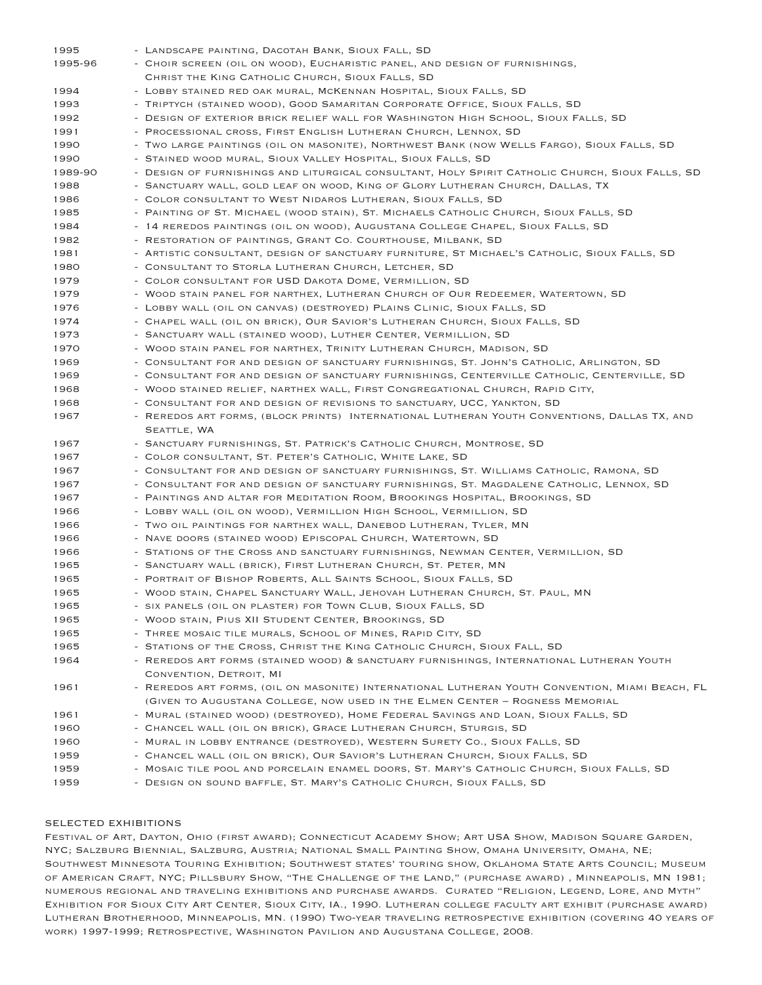| 1995    | - LANDSCAPE PAINTING, DACOTAH BANK, SIOUX FALL, SD                                              |
|---------|-------------------------------------------------------------------------------------------------|
| 1995-96 | - CHOIR SCREEN (OIL ON WOOD), EUCHARISTIC PANEL, AND DESIGN OF FURNISHINGS,                     |
|         | CHRIST THE KING CATHOLIC CHURCH, SIOUX FALLS, SD                                                |
| 1994    | - LOBBY STAINED RED OAK MURAL, MCKENNAN HOSPITAL, SIOUX FALLS, SD                               |
| 1993    | - TRIPTYCH (STAINED WOOD), GOOD SAMARITAN CORPORATE OFFICE, SIOUX FALLS, SD                     |
| 1992    | - DESIGN OF EXTERIOR BRICK RELIEF WALL FOR WASHINGTON HIGH SCHOOL, SIOUX FALLS, SD              |
| 1991    | - PROCESSIONAL CROSS, FIRST ENGLISH LUTHERAN CHURCH, LENNOX, SD                                 |
| 1990    | - TWO LARGE PAINTINGS (OIL ON MASONITE), NORTHWEST BANK (NOW WELLS FARGO), SIOUX FALLS, SD      |
| 1990    | - STAINED WOOD MURAL, SIOUX VALLEY HOSPITAL, SIOUX FALLS, SD                                    |
| 1989-90 | - DESIGN OF FURNISHINGS AND LITURGICAL CONSULTANT, HOLY SPIRIT CATHOLIC CHURCH, SIOUX FALLS, SD |
| 1988    | - SANCTUARY WALL, GOLD LEAF ON WOOD, KING OF GLORY LUTHERAN CHURCH, DALLAS, TX                  |
| 1986    | - COLOR CONSULTANT TO WEST NIDAROS LUTHERAN, SIOUX FALLS, SD                                    |
| 1985    | - PAINTING OF ST. MICHAEL (WOOD STAIN), ST. MICHAELS CATHOLIC CHURCH, SIOUX FALLS, SD           |
| 1984    | - 14 REREDOS PAINTINGS (OIL ON WOOD), AUGUSTANA COLLEGE CHAPEL, SIOUX FALLS, SD                 |
| 1982    | - RESTORATION OF PAINTINGS, GRANT CO. COURTHOUSE, MILBANK, SD                                   |
| 1981    | - ARTISTIC CONSULTANT, DESIGN OF SANCTUARY FURNITURE, ST MICHAEL'S CATHOLIC, SIOUX FALLS, SD    |
| 1980    | - CONSULTANT TO STORLA LUTHERAN CHURCH, LETCHER, SD                                             |
| 1979    | - COLOR CONSULTANT FOR USD DAKOTA DOME, VERMILLION, SD                                          |
| 1979    | - WOOD STAIN PANEL FOR NARTHEX, LUTHERAN CHURCH OF OUR REDEEMER, WATERTOWN, SD                  |
| 1976    | - LOBBY WALL (OIL ON CANVAS) (DESTROYED) PLAINS CLINIC, SIOUX FALLS, SD                         |
| 1974    | - CHAPEL WALL (OIL ON BRICK), OUR SAVIOR'S LUTHERAN CHURCH, SIOUX FALLS, SD                     |
| 1973    | - SANCTUARY WALL (STAINED WOOD), LUTHER CENTER, VERMILLION, SD                                  |
| 1970    | - WOOD STAIN PANEL FOR NARTHEX, TRINITY LUTHERAN CHURCH, MADISON, SD                            |
| 1969    | - CONSULTANT FOR AND DESIGN OF SANCTUARY FURNISHINGS, ST. JOHN'S CATHOLIC, ARLINGTON, SD        |
| 1969    | - CONSULTANT FOR AND DESIGN OF SANCTUARY FURNISHINGS, CENTERVILLE CATHOLIC, CENTERVILLE, SD     |
| 1968    | - WOOD STAINED RELIEF, NARTHEX WALL, FIRST CONGREGATIONAL CHURCH, RAPID CITY,                   |
| 1968    | - CONSULTANT FOR AND DESIGN OF REVISIONS TO SANCTUARY, UCC, YANKTON, SD                         |
| 1967    | - REREDOS ART FORMS, (BLOCK PRINTS) INTERNATIONAL LUTHERAN YOUTH CONVENTIONS, DALLAS TX, AND    |
|         | SEATTLE, WA                                                                                     |
| 1967    | - SANCTUARY FURNISHINGS, ST. PATRICK'S CATHOLIC CHURCH, MONTROSE, SD                            |
| 1967    | - COLOR CONSULTANT, ST. PETER'S CATHOLIC, WHITE LAKE, SD                                        |
| 1967    | - CONSULTANT FOR AND DESIGN OF SANCTUARY FURNISHINGS, ST. WILLIAMS CATHOLIC, RAMONA, SD         |
| 1967    | - CONSULTANT FOR AND DESIGN OF SANCTUARY FURNISHINGS, ST. MAGDALENE CATHOLIC, LENNOX, SD        |
| 1967    | - PAINTINGS AND ALTAR FOR MEDITATION ROOM, BROOKINGS HOSPITAL, BROOKINGS, SD                    |
| 1966    | - LOBBY WALL (OIL ON WOOD), VERMILLION HIGH SCHOOL, VERMILLION, SD                              |
| 1966    | - TWO OIL PAINTINGS FOR NARTHEX WALL, DANEBOD LUTHERAN, TYLER, MN                               |
| 1966    | - NAVE DOORS (STAINED WOOD) EPISCOPAL CHURCH, WATERTOWN, SD                                     |
| 1966    | - STATIONS OF THE CROSS AND SANCTUARY FURNISHINGS, NEWMAN CENTER, VERMILLION, SD                |
| 1965    | - SANCTUARY WALL (BRICK), FIRST LUTHERAN CHURCH, ST. PETER, MN                                  |
| 1965    | - PORTRAIT OF BISHOP ROBERTS, ALL SAINTS SCHOOL, SIOUX FALLS, SD                                |
| 1965    | - WOOD STAIN, CHAPEL SANCTUARY WALL, JEHOVAH LUTHERAN CHURCH, ST. PAUL, MN                      |
| 1965    | - SIX PANELS (OIL ON PLASTER) FOR TOWN CLUB, SIOUX FALLS, SD                                    |
| 1965    | - WOOD STAIN, PIUS XII STUDENT CENTER, BROOKINGS, SD                                            |
| 1965    | - THREE MOSAIC TILE MURALS, SCHOOL OF MINES, RAPID CITY, SD                                     |
| 1965    | - STATIONS OF THE CROSS, CHRIST THE KING CATHOLIC CHURCH, SIOUX FALL, SD                        |
| 1964    | - REREDOS ART FORMS (STAINED WOOD) & SANCTUARY FURNISHINGS, INTERNATIONAL LUTHERAN YOUTH        |
|         | CONVENTION, DETROIT, MI                                                                         |
| 1961    | - REREDOS ART FORMS, (OIL ON MASONITE) INTERNATIONAL LUTHERAN YOUTH CONVENTION, MIAMI BEACH, FL |
|         | (GIVEN TO AUGUSTANA COLLEGE, NOW USED IN THE ELMEN CENTER - ROGNESS MEMORIAL                    |
| 1961    | - MURAL (STAINED WOOD) (DESTROYED), HOME FEDERAL SAVINGS AND LOAN, SIOUX FALLS, SD              |
| 1960    | - CHANCEL WALL (OIL ON BRICK), GRACE LUTHERAN CHURCH, STURGIS, SD                               |
| 1960    | - MURAL IN LOBBY ENTRANCE (DESTROYED), WESTERN SURETY CO., SIOUX FALLS, SD                      |
| 1959    | - CHANCEL WALL (OIL ON BRICK), OUR SAVIOR'S LUTHERAN CHURCH, SIOUX FALLS, SD                    |
| 1959    | - MOSAIC TILE POOL AND PORCELAIN ENAMEL DOORS, ST. MARY'S CATHOLIC CHURCH, SIOUX FALLS, SD      |
| 1959    | - DESIGN ON SOUND BAFFLE, ST. MARY'S CATHOLIC CHURCH, SIOUX FALLS, SD                           |
|         |                                                                                                 |

## SELECTED EXHIBITIONS

Festival of Art, Dayton, Ohio (first award); Connecticut Academy Show; Art USA Show, Madison Square Garden, NYC; Salzburg Biennial, Salzburg, Austria; National Small Painting Show, Omaha University, Omaha, NE; Southwest Minnesota Touring Exhibition; Southwest states' touring show, Oklahoma State Arts Council; Museum of American Craft, NYC; Pillsbury Show, "The Challenge of the Land," (purchase award) , Minneapolis, MN 1981; numerous regional and traveling exhibitions and purchase awards. Curated "Religion, Legend, Lore, and Myth" Exhibition for Sioux City Art Center, Sioux City, IA., 1990. Lutheran college faculty art exhibit (purchase award) Lutheran Brotherhood, Minneapolis, MN. (1990) Two-year traveling retrospective exhibition (covering 40 years of work) 1997-1999; Retrospective, Washington Pavilion and Augustana College, 2008.